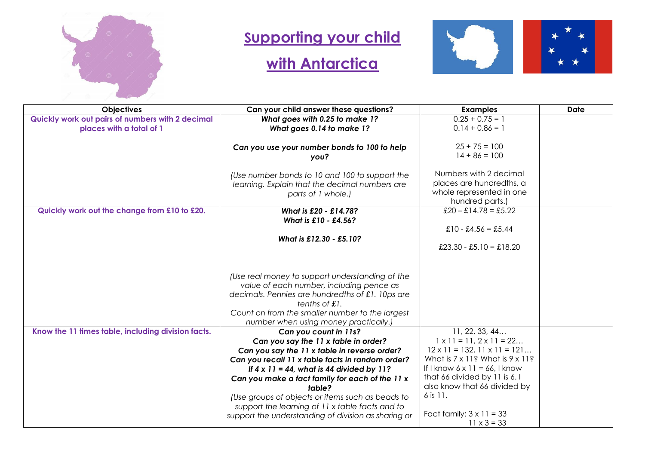

## **Supporting your child**

## **with Antarctica**



| <b>Objectives</b>                                  | Can your child answer these questions?              | <b>Examples</b>                                 | <b>Date</b> |
|----------------------------------------------------|-----------------------------------------------------|-------------------------------------------------|-------------|
| Quickly work out pairs of numbers with 2 decimal   | What goes with 0.25 to make 1?                      | $0.25 + 0.75 = 1$                               |             |
| places with a total of 1                           | What goes 0.14 to make 1?                           | $0.14 + 0.86 = 1$                               |             |
|                                                    |                                                     |                                                 |             |
|                                                    | Can you use your number bonds to 100 to help        | $25 + 75 = 100$                                 |             |
|                                                    | you?                                                | $14 + 86 = 100$                                 |             |
|                                                    |                                                     |                                                 |             |
|                                                    | (Use number bonds to 10 and 100 to support the      | Numbers with 2 decimal                          |             |
|                                                    | learning. Explain that the decimal numbers are      | places are hundredths, a                        |             |
|                                                    | parts of 1 whole.)                                  | whole represented in one                        |             |
|                                                    |                                                     | hundred parts.)                                 |             |
| Quickly work out the change from £10 to £20.       | What is £20 - £14.78?                               | $£20 - £14.78 = £5.22$                          |             |
|                                                    | What is £10 - £4.56?                                | £10 - £4.56 = £5.44                             |             |
|                                                    |                                                     |                                                 |             |
|                                                    | What is £12.30 - £5.10?                             | £23.30 - £5.10 = £18.20                         |             |
|                                                    |                                                     |                                                 |             |
|                                                    |                                                     |                                                 |             |
|                                                    | (Use real money to support understanding of the     |                                                 |             |
|                                                    | value of each number, including pence as            |                                                 |             |
|                                                    | decimals. Pennies are hundredths of £1. 10ps are    |                                                 |             |
|                                                    | tenths of £1.                                       |                                                 |             |
|                                                    | Count on from the smaller number to the largest     |                                                 |             |
|                                                    | number when using money practically.)               |                                                 |             |
| Know the 11 times table, including division facts. | Can you count in 11s?                               | 11, 22, 33, 44                                  |             |
|                                                    | Can you say the 11 x table in order?                | $1 \times 11 = 11, 2 \times 11 = 22$            |             |
|                                                    | Can you say the 11 x table in reverse order?        | $12 \times 11 = 132, 11 \times 11 = 121$        |             |
|                                                    | Can you recall 11 x table facts in random order?    | What is $7 \times 11$ ? What is $9 \times 11$ ? |             |
|                                                    | If $4 \times 11 = 44$ , what is 44 divided by 11?   | If I know $6 \times 11 = 66$ , I know           |             |
|                                                    | Can you make a fact family for each of the 11 x     | that 66 divided by 11 is 6.1                    |             |
|                                                    | table?                                              | also know that 66 divided by                    |             |
|                                                    | (Use groups of objects or items such as beads to    | 6 is 11.                                        |             |
|                                                    | support the learning of 11 x table facts and to     |                                                 |             |
|                                                    | support the understanding of division as sharing or | Fact family: $3 \times 11 = 33$                 |             |
|                                                    |                                                     | $11 \times 3 = 33$                              |             |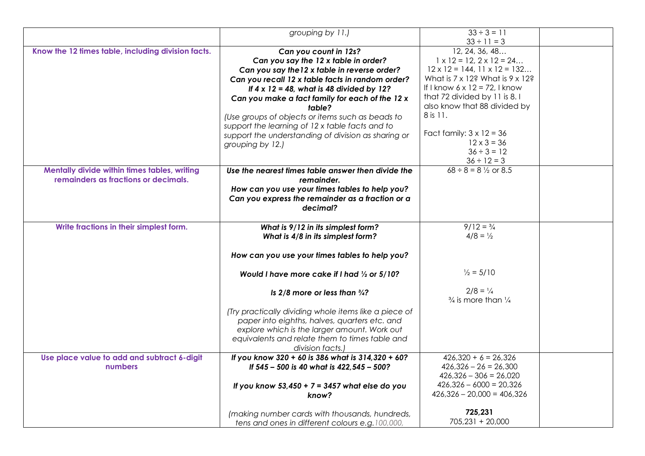|                                                    | grouping by 11.)                                      | $33 \div 3 = 11$                                |  |
|----------------------------------------------------|-------------------------------------------------------|-------------------------------------------------|--|
|                                                    |                                                       | $33 \div 11 = 3$                                |  |
| Know the 12 times table, including division facts. | Can you count in 12s?                                 | 12, 24, 36, 48                                  |  |
|                                                    | Can you say the 12 x table in order?                  | $1 \times 12 = 12, 2 \times 12 = 24$            |  |
|                                                    | Can you say the 12 x table in reverse order?          | $12 \times 12 = 144, 11 \times 12 = 132$        |  |
|                                                    | Can you recall 12 x table facts in random order?      | What is $7 \times 12$ ? What is $9 \times 12$ ? |  |
|                                                    | If $4 \times 12 = 48$ , what is 48 divided by 12?     | If I know $6 \times 12 = 72$ , I know           |  |
|                                                    | Can you make a fact family for each of the 12 x       | that 72 divided by 11 is 8.1                    |  |
|                                                    | table?                                                | also know that 88 divided by                    |  |
|                                                    | (Use groups of objects or items such as beads to      | 8 is 11.                                        |  |
|                                                    | support the learning of 12 x table facts and to       |                                                 |  |
|                                                    | support the understanding of division as sharing or   | Fact family: $3 \times 12 = 36$                 |  |
|                                                    | grouping by 12.)                                      | $12 \times 3 = 36$                              |  |
|                                                    |                                                       | $36 \div 3 = 12$                                |  |
|                                                    |                                                       | $36 \div 12 = 3$                                |  |
| Mentally divide within times tables, writing       | Use the nearest times table answer then divide the    | $68 \div 8 = 8 \frac{1}{2}$ or 8.5              |  |
| remainders as fractions or decimals.               | remainder.                                            |                                                 |  |
|                                                    | How can you use your times tables to help you?        |                                                 |  |
|                                                    | Can you express the remainder as a fraction or a      |                                                 |  |
|                                                    | decimal?                                              |                                                 |  |
|                                                    |                                                       |                                                 |  |
| Write fractions in their simplest form.            | What is 9/12 in its simplest form?                    | $9/12 = \frac{3}{4}$                            |  |
|                                                    | What is 4/8 in its simplest form?                     | $4/8 = \frac{1}{2}$                             |  |
|                                                    |                                                       |                                                 |  |
|                                                    | How can you use your times tables to help you?        |                                                 |  |
|                                                    | Would I have more cake if I had 1/2 or 5/10?          | $\frac{1}{2}$ = 5/10                            |  |
|                                                    |                                                       |                                                 |  |
|                                                    | Is $2/8$ more or less than $\frac{3}{4}$ ?            | $2/8 = \frac{1}{4}$                             |  |
|                                                    |                                                       | $\frac{3}{4}$ is more than $\frac{1}{4}$        |  |
|                                                    | (Try practically dividing whole items like a piece of |                                                 |  |
|                                                    | paper into eighths, halves, quarters etc. and         |                                                 |  |
|                                                    | explore which is the larger amount. Work out          |                                                 |  |
|                                                    | equivalents and relate them to times table and        |                                                 |  |
|                                                    | division facts.)                                      |                                                 |  |
| Use place value to add and subtract 6-digit        | If you know 320 + 60 is 386 what is 314,320 + 60?     | $426,320 + 6 = 26,326$                          |  |
| numbers                                            | If 545 - 500 is 40 what is 422, 545 - 500?            | $426,326 - 26 = 26,300$                         |  |
|                                                    |                                                       | $426,326 - 306 = 26,020$                        |  |
|                                                    | If you know $53,450 + 7 = 3457$ what else do you      | $426,326 - 6000 = 20,326$                       |  |
|                                                    | know?                                                 | $426,326 - 20,000 = 406,326$                    |  |
|                                                    |                                                       |                                                 |  |
|                                                    | (making number cards with thousands, hundreds,        | 725,231                                         |  |
|                                                    | tens and ones in different colours e.g. 100,000,      | 705,231 + 20,000                                |  |